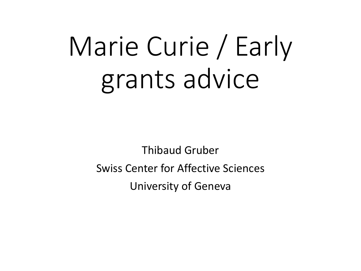## Marie Curie / Early grants advice

Thibaud Gruber Swiss Center for Affective Sciences University of Geneva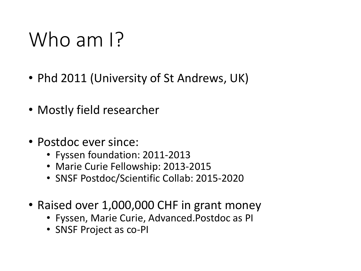## Who am I?

- Phd 2011 (University of St Andrews, UK)
- Mostly field researcher
- Postdoc ever since:
	- Fyssen foundation: 2011-2013
	- Marie Curie Fellowship: 2013-2015
	- SNSF Postdoc/Scientific Collab: 2015-2020
- Raised over 1,000,000 CHF in grant money
	- Fyssen, Marie Curie, Advanced.Postdoc as PI
	- SNSF Project as co-PI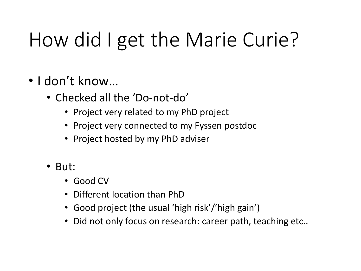## How did I get the Marie Curie?

- I don't know…
	- Checked all the 'Do-not-do'
		- Project very related to my PhD project
		- Project very connected to my Fyssen postdoc
		- Project hosted by my PhD adviser
	- But:
		- Good CV
		- Different location than PhD
		- Good project (the usual 'high risk'/'high gain')
		- Did not only focus on research: career path, teaching etc..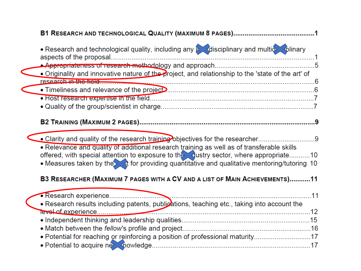| • Research and technological quality, including any perchisciplinary and multion oblinary                                  |     |
|----------------------------------------------------------------------------------------------------------------------------|-----|
|                                                                                                                            |     |
| . Originality and innovative nature of the project, and relationship to the 'state of the art' of<br>research in the tield |     |
|                                                                                                                            |     |
|                                                                                                                            |     |
|                                                                                                                            |     |
|                                                                                                                            |     |
|                                                                                                                            |     |
| • Clarity and quality of the research training objectives for the researcher9                                              |     |
| . Relevance and quality of additional research training as well as of transferable skills                                  |     |
| offered, with special attention to exposure to the dustry sector, where appropriate10                                      |     |
| • Measures taken by the st for providing quantitative and qualitative mentoring/tutoring 10                                |     |
| B3 RESEARCHER (MAXIMUM 7 PAGES WITH A CV AND A LIST OF MAIN ACHIEVEMENTS)11                                                |     |
|                                                                                                                            | .11 |
| • Research results including patents, publications, teaching etc., taking into account the                                 |     |
|                                                                                                                            |     |
|                                                                                                                            |     |
|                                                                                                                            |     |
| • Potential for reaching or reinforcing a position of professional maturity17                                              |     |
|                                                                                                                            |     |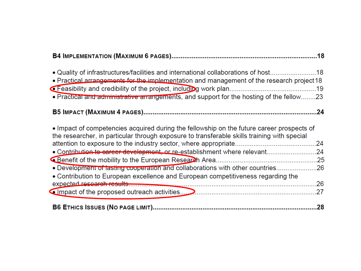| • Quality of infrastructures/facilities and international collaborations of host18<br>• Practical arrangements for the implementation and management of the research project 18<br>. Practical and administrative arrangements, and support for the hosting of the fellow23 |     |
|-----------------------------------------------------------------------------------------------------------------------------------------------------------------------------------------------------------------------------------------------------------------------------|-----|
|                                                                                                                                                                                                                                                                             |     |
| • Impact of competencies acquired during the fellowship on the future career prospects of<br>the researcher, in particular through exposure to transferable skills training with special                                                                                    | .24 |
| • Contribution to career development, or re-establishment where relevant24                                                                                                                                                                                                  |     |
| . Development of lasting cooperation and collaborations with other countries26<br>• Contribution to European excellence and European competitiveness regarding the                                                                                                          | .26 |
|                                                                                                                                                                                                                                                                             | .27 |
|                                                                                                                                                                                                                                                                             | .28 |